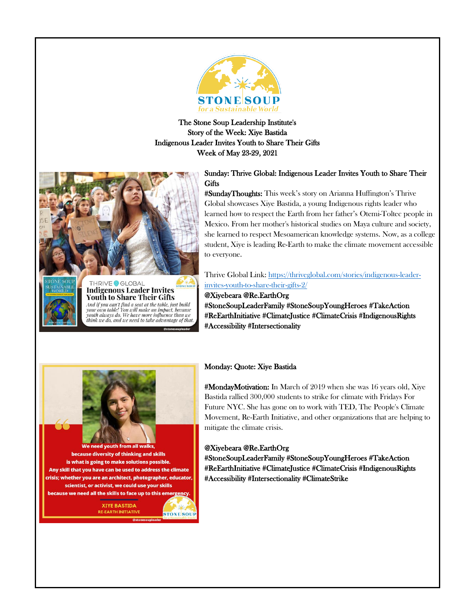

The Stone Soup Leadership Institute's Story of the Week: Xiye Bastida Indigenous Leader Invites Youth to Share Their Gifts Week of May 23-29, 2021



**Youth to Share Their Gifts** And if you can't find a seat at the table, just build<br>your own table! You will make an impact, because youth always do. We have more influence than we think we do, and we need to take advantage of that

# Sunday: Thrive Global: Indigenous Leader Invites Youth to Share Their **Gifts**

#SundayThoughts: This week's story on Arianna Huffington's Thrive Global showcases Xiye Bastida, a young Indigenous rights leader who learned how to respect the Earth from her father's Otemi-Toltec people in Mexico. From her mother's historical studies on Maya culture and society, she learned to respect Mesoamerican knowledge systems. Now, as a college student, Xiye is leading Re-Earth to make the climate movement accessible to everyone.

# Thrive Global Link[: https://thriveglobal.com/stories/indigenous-leader](https://thriveglobal.com/stories/indigenous-leader-invites-youth-to-share-their-gifts-2/)[invites-youth-to-share-their-gifts-2/](https://thriveglobal.com/stories/indigenous-leader-invites-youth-to-share-their-gifts-2/)

@Xiyebeara @Re.EarthOrg #StoneSoupLeaderFamily #StoneSoupYoungHeroes #TakeAction #ReEarthInitiative #ClimateJustice #ClimateCrisis #IndigenousRights #Accessibility #Intersectionality



need youth from because diversity of thinking and skills is what is going to make solutions possible. Any skill that you have can be used to address the climate crisis; whether you are an architect, photographer, educator, scientist, or activist, we could use your skills because we need all the skills to face up to this emergency

> **XIYE BASTIDA RE-EARTH INITIATIVE STONE SOU**

# Monday: Quote: Xiye Bastida

#MondayMotivation: In March of 2019 when she was 16 years old, Xiye Bastida rallied 300,000 students to strike for climate with Fridays For Future NYC. She has gone on to work with TED, The People's Climate Movement, Re-Earth Initiative, and other organizations that are helping to mitigate the climate crisis.

# @Xiyebeara @Re.EarthOrg

#StoneSoupLeaderFamily #StoneSoupYoungHeroes #TakeAction #ReEarthInitiative #ClimateJustice #ClimateCrisis #IndigenousRights #Accessibility #Intersectionality #ClimateStrike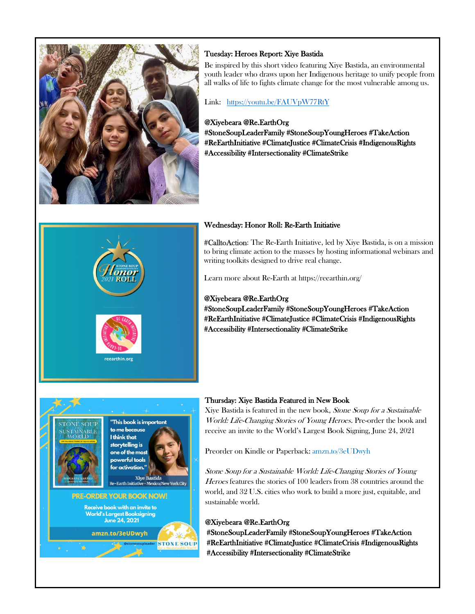

# Tuesday: Heroes Report: Xiye Bastida

Be inspired by this short video featuring Xiye Bastida, an environmental youth leader who draws upon her Indigenous heritage to unify people from all walks of life to fights climate change for the most vulnerable among us.

## Link: <https://youtu.be/FAUVpW77RtY>

### @Xiyebeara @Re.EarthOrg

#StoneSoupLeaderFamily #StoneSoupYoungHeroes #TakeAction #ReEarthInitiative #ClimateJustice #ClimateCrisis #IndigenousRights #Accessibility #Intersectionality #ClimateStrike



### Wednesday: Honor Roll: Re-Earth Initiative

#CalltoAction: The Re-Earth Initiative, led by Xiye Bastida, is on a mission to bring climate action to the masses by hosting informational webinars and writing toolkits designed to drive real change.

Learn more about Re-Earth at https://reearthin.org/

#### @Xiyebeara @Re.EarthOrg

#StoneSoupLeaderFamily #StoneSoupYoungHeroes #TakeAction #ReEarthInitiative #ClimateJustice #ClimateCrisis #IndigenousRights #Accessibility #Intersectionality #ClimateStrike



#### Thursday: Xiye Bastida Featured in New Book

Xiye Bastida is featured in the new book, Stone Soup for a Sustainable World: Life-Changing Stories of Young Heroes. Pre-order the book and receive an invite to the World's Largest Book Signing, June 24, 2021

Preorder on Kindle or Paperback[: amzn.to/3eUDwyh](http://amzn.to/3eUDwyh)

Stone Soup for a Sustainable World: Life-Changing Stories of Young Heroes features the stories of 100 leaders from 38 countries around the world, and 32 U.S. cities who work to build a more just, equitable, and sustainable world.

### @Xiyebeara @Re.EarthOrg

#StoneSoupLeaderFamily #StoneSoupYoungHeroes #TakeAction #ReEarthInitiative #ClimateJustice #ClimateCrisis #IndigenousRights #Accessibility #Intersectionality #ClimateStrike